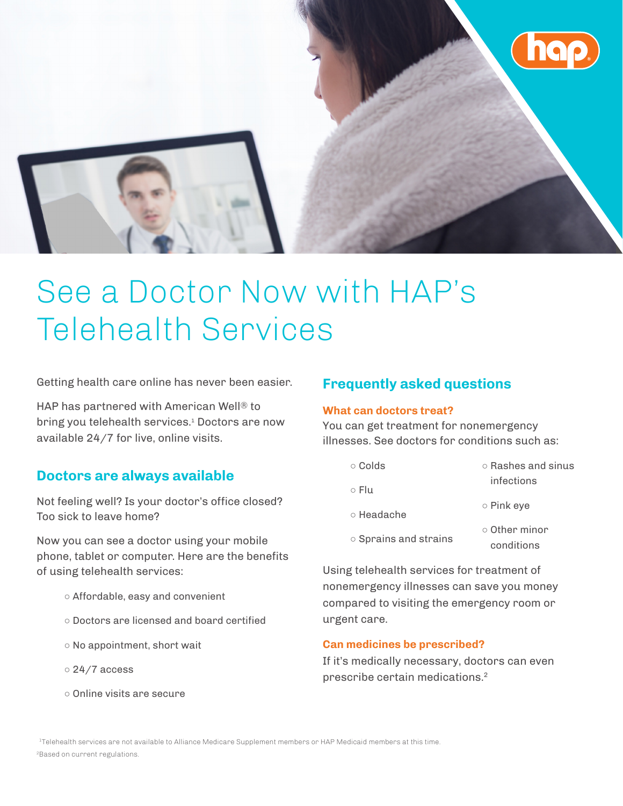

# See a Doctor Now with HAP's Telehealth Services

Getting health care online has never been easier.

HAP has partnered with American Well® to bring you telehealth services.<sup>1</sup> Doctors are now available 24/7 for live, online visits.

## **Doctors are always available**

Not feeling well? Is your doctor's office closed? Too sick to leave home?

Now you can see a doctor using your mobile phone, tablet or computer. Here are the benefits of using telehealth services:

- Affordable, easy and convenient
- Doctors are licensed and board certified
- No appointment, short wait
- 24/7 access
- Online visits are secure

## **Frequently asked questions**

#### **What can doctors treat?**

You can get treatment for nonemergency illnesses. See doctors for conditions such as:

| $\circ$ Colds               | $\circ$ Rashes and sinus          |
|-----------------------------|-----------------------------------|
| ⊙ Flu                       | infections                        |
| $\circ$ Headache            | $\circ$ Pink eye                  |
| $\circ$ Sprains and strains | $\circ$ Other minor<br>conditions |

Using telehealth services for treatment of nonemergency illnesses can save you money compared to visiting the emergency room or urgent care.

### **Can medicines be prescribed?**

If it's medically necessary, doctors can even prescribe certain medications.2

<sup>1</sup>Telehealth services are not available to Alliance Medicare Supplement members or HAP Medicaid members at this time. <sup>2</sup>Based on current regulations.